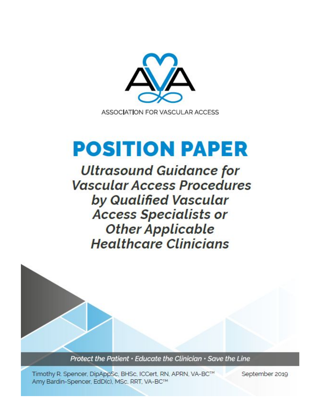

# **POSITION PAPER**

**Ultrasound Guidance for Vascular Access Procedures** by Qualified Vascular **Access Specialists or Other Applicable Healthcare Clinicians** 

Protect the Patient • Educate the Clinician • Save the Line

Timothy R. Spencer, DipAppSc, BHSc, ICCert, RN, APRN, VA-BC™ Amy Bardin-Spencer, EdD(c), MSc, RRT, VA-BC™

September 2019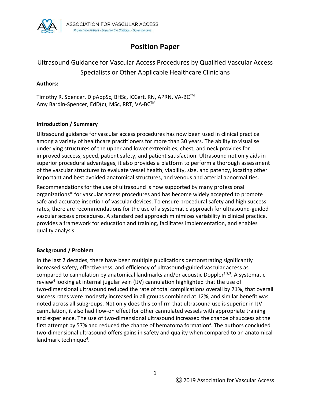

# **Position Paper**

# Ultrasound Guidance for Vascular Access Procedures by Qualified Vascular Access Specialists or Other Applicable Healthcare Clinicians

#### **Authors:**

Timothy R. Spencer, DipAppSc, BHSc, ICCert, RN, APRN, VA-BC<sup>™</sup> Amy Bardin-Spencer, EdD(c), MSc, RRT, VA-BC™

## **Introduction / Summary**

Ultrasound guidance for vascular access procedures has now been used in clinical practice among a variety of healthcare practitioners for more than 30 years. The ability to visualise underlying structures of the upper and lower extremities, chest, and neck provides for improved success, speed, patient safety, and patient satisfaction. Ultrasound not only aids in superior procedural advantages, it also provides a platform to perform a thorough assessment of the vascular structures to evaluate vessel health, viability, size, and patency, locating other important and best avoided anatomical structures, and venous and arterial abnormalities.

Recommendations for the use of ultrasound is now supported by many professional organizations\* for vascular access procedures and has become widely accepted to promote safe and accurate insertion of vascular devices. To ensure procedural safety and high success rates, there are recommendations for the use of a systematic approach for ultrasound-guided vascular access procedures. A standardized approach minimizes variability in clinical practice, provides a framework for education and training, facilitates implementation, and enables quality analysis.

#### **Background / Problem**

In the last 2 decades, there have been multiple publications demonstrating significantly increased safety, effectiveness, and efficiency of ultrasound-guided vascular access as compared to cannulation by anatomical landmarks and/or acoustic Doppler<sup>1,2,3</sup>. A systematic review<sup>4</sup> looking at internal jugular vein (IJV) cannulation highlighted that the use of two-dimensional ultrasound reduced the rate of total complications overall by 71%, that overall success rates were modestly increased in all groups combined at 12%, and similar benefit was noted across all subgroups. Not only does this confirm that ultrasound use is superior in IJV cannulation, it also had flow-on effect for other cannulated vessels with appropriate training and experience. The use of two-dimensional ultrasound increased the chance of success at the first attempt by 57% and reduced the chance of hematoma formation<sup>4</sup>. The authors concluded two-dimensional ultrasound offers gains in safety and quality when compared to an anatomical landmark technique<sup>4</sup>.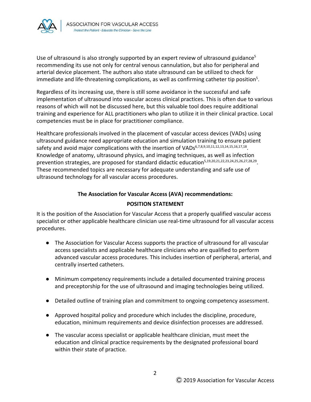

Use of ultrasound is also strongly supported by an expert review of ultrasound guidance<sup>5</sup> recommending its use not only for central venous cannulation, but also for peripheral and arterial device placement. The authors also state ultrasound can be utilized to check for immediate and life-threatening complications, as well as confirming catheter tip position<sup>5</sup>.

Regardless of its increasing use, there is still some avoidance in the successful and safe implementation of ultrasound into vascular access clinical practices. This is often due to various reasons of which will not be discussed here, but this valuable tool does require additional training and experience for ALL practitioners who plan to utilize it in their clinical practice. Local competencies must be in place for practitioner compliance.

Healthcare professionals involved in the placement of vascular access devices (VADs) using ultrasound guidance need appropriate education and simulation training to ensure patient safety and avoid major complications with the insertion of VADs<sup>6,7,8,9,10,11,12,13,14,15,16,17,18</sup>. Knowledge of anatomy, ultrasound physics, and imaging techniques, as well as infection prevention strategies, are proposed for standard didactic education<sup>5,19,20,21,22,23,24,25,26,27,28,29</sup>. These recommended topics are necessary for adequate understanding and safe use of ultrasound technology for all vascular access procedures.

# **The Association for Vascular Access (AVA) recommendations: POSITION STATEMENT**

It is the position of the Association for Vascular Access that a properly qualified vascular access specialist or other applicable healthcare clinician use real-time ultrasound for all vascular access procedures.

- The Association for Vascular Access supports the practice of ultrasound for all vascular access specialists and applicable healthcare clinicians who are qualified to perform advanced vascular access procedures. This includes insertion of peripheral, arterial, and centrally inserted catheters.
- Minimum competency requirements include a detailed documented training process and preceptorship for the use of ultrasound and imaging technologies being utilized.
- Detailed outline of training plan and commitment to ongoing competency assessment.
- Approved hospital policy and procedure which includes the discipline, procedure, education, minimum requirements and device disinfection processes are addressed.
- The vascular access specialist or applicable healthcare clinician, must meet the education and clinical practice requirements by the designated professional board within their state of practice.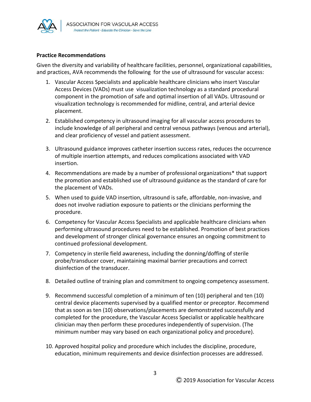

#### **Practice Recommendations**

Given the diversity and variability of healthcare facilities, personnel, organizational capabilities, and practices, AVA recommends the following for the use of ultrasound for vascular access:

- 1. Vascular Access Specialists and applicable healthcare clinicians who insert Vascular Access Devices (VADs) must use visualization technology as a standard procedural component in the promotion of safe and optimal insertion of all VADs. Ultrasound or visualization technology is recommended for midline, central, and arterial device placement.
- 2. Established competency in ultrasound imaging for all vascular access procedures to include knowledge of all peripheral and central venous pathways (venous and arterial), and clear proficiency of vessel and patient assessment.
- 3. Ultrasound guidance improves catheter insertion success rates, reduces the occurrence of multiple insertion attempts, and reduces complications associated with VAD insertion.
- 4. Recommendations are made by a number of professional organizations\* that support the promotion and established use of ultrasound guidance as the standard of care for the placement of VADs.
- 5. When used to guide VAD insertion, ultrasound is safe, affordable, non-invasive, and does not involve radiation exposure to patients or the clinicians performing the procedure.
- 6. Competency for Vascular Access Specialists and applicable healthcare clinicians when performing ultrasound procedures need to be established. Promotion of best practices and development of stronger clinical governance ensures an ongoing commitment to continued professional development.
- 7. Competency in sterile field awareness, including the donning/doffing of sterile probe/transducer cover, maintaining maximal barrier precautions and correct disinfection of the transducer.
- 8. Detailed outline of training plan and commitment to ongoing competency assessment.
- 9. Recommend successful completion of a minimum of ten (10) peripheral and ten (10) central device placements supervised by a qualified mentor or preceptor. Recommend that as soon as ten (10) observations/placements are demonstrated successfully and completed for the procedure, the Vascular Access Specialist or applicable healthcare clinician may then perform these procedures independently of supervision. (The minimum number may vary based on each organizational policy and procedure).
- 10. Approved hospital policy and procedure which includes the discipline, procedure, education, minimum requirements and device disinfection processes are addressed.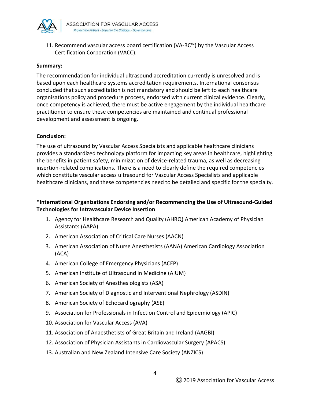

11. Recommend vascular access board certification (VA-BC™) by the Vascular Access Certification Corporation (VACC).

#### **Summary:**

The recommendation for individual ultrasound accreditation currently is unresolved and is based upon each healthcare systems accreditation requirements. International consensus concluded that such accreditation is not mandatory and should be left to each healthcare organisations policy and procedure process, endorsed with current clinical evidence. Clearly, once competency is achieved, there must be active engagement by the individual healthcare practitioner to ensure these competencies are maintained and continual professional development and assessment is ongoing.

#### **Conclusion:**

The use of ultrasound by Vascular Access Specialists and applicable healthcare clinicians provides a standardized technology platform for impacting key areas in healthcare, highlighting the benefits in patient safety, minimization of device-related trauma, as well as decreasing insertion-related complications. There is a need to clearly define the required competencies which constitute vascular access ultrasound for Vascular Access Specialists and applicable healthcare clinicians, and these competencies need to be detailed and specific for the specialty.

## **\*International Organizations Endorsing and/or Recommending the Use of Ultrasound-Guided Technologies for Intravascular Device Insertion**

- 1. Agency for Healthcare Research and Quality (AHRQ) American Academy of Physician Assistants (AAPA)
- 2. American Association of Critical Care Nurses (AACN)
- 3. American Association of Nurse Anesthetists (AANA) American Cardiology Association (ACA)
- 4. American College of Emergency Physicians (ACEP)
- 5. American Institute of Ultrasound in Medicine (AIUM)
- 6. American Society of Anesthesiologists (ASA)
- 7. American Society of Diagnostic and Interventional Nephrology (ASDIN)
- 8. American Society of Echocardiography (ASE)
- 9. Association for Professionals in Infection Control and Epidemiology (APIC)
- 10. Association for Vascular Access (AVA)
- 11. Association of Anaesthetists of Great Britain and Ireland (AAGBI)
- 12. Association of Physician Assistants in Cardiovascular Surgery (APACS)
- 13. Australian and New Zealand Intensive Care Society (ANZICS)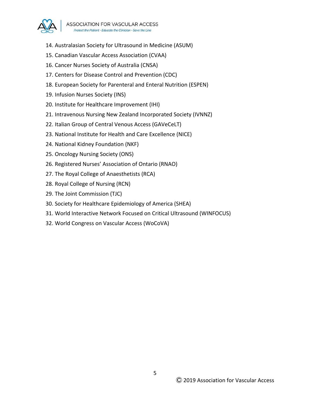

- 14. Australasian Society for Ultrasound in Medicine (ASUM)
- 15. Canadian Vascular Access Association (CVAA)
- 16. Cancer Nurses Society of Australia (CNSA)
- 17. Centers for Disease Control and Prevention (CDC)
- 18. European Society for Parenteral and Enteral Nutrition (ESPEN)
- 19. Infusion Nurses Society (INS)
- 20. Institute for Healthcare Improvement (IHI)
- 21. Intravenous Nursing New Zealand Incorporated Society (IVNNZ)
- 22. Italian Group of Central Venous Access (GAVeCeLT)
- 23. National Institute for Health and Care Excellence (NICE)
- 24. National Kidney Foundation (NKF)
- 25. Oncology Nursing Society (ONS)
- 26. Registered Nurses' Association of Ontario (RNAO)
- 27. The Royal College of Anaesthetists (RCA)
- 28. Royal College of Nursing (RCN)
- 29. The Joint Commission (TJC)
- 30. Society for Healthcare Epidemiology of America (SHEA)
- 31. World Interactive Network Focused on Critical Ultrasound (WINFOCUS)
- 32. World Congress on Vascular Access (WoCoVA)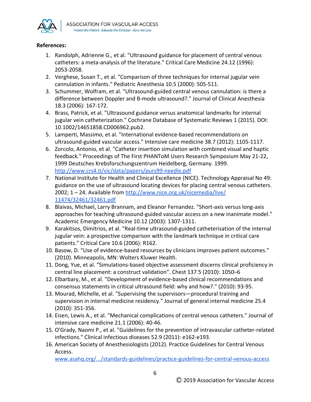

#### **References:**

- 1. Randolph, Adrienne G., et al. "Ultrasound guidance for placement of central venous catheters: a meta-analysis of the literature." Critical Care Medicine 24.12 (1996): 2053-2058.
- 2. Verghese, Susan T., et al. "Comparison of three techniques for internal jugular vein cannulation in infants." Pediatric Anesthesia 10.5 (2000): 505-511.
- 3. Schummer, Wolfram, et al. "Ultrasound-guided central venous cannulation: is there a difference between Doppler and B-mode ultrasound?." Journal of Clinical Anesthesia 18.3 (2006): 167-172.
- 4. Brass, Patrick, et al. "Ultrasound guidance versus anatomical landmarks for internal jugular vein catheterization." Cochrane Database of Systematic Reviews 1 (2015). DOI: 10.1002/14651858.CD006962.pub2.
- 5. Lamperti, Massimo, et al. "International evidence-based recommendations on ultrasound-guided vascular access." Intensive care medicine 38.7 (2012): 1105-1117.
- 6. Zorcolo, Antonio, et al. "Catheter insertion simulation with combined visual and haptic feedback." Proceedings of The First PHANToM Users Research Symposium May 21-22, 1999 Deutsches Krebsforschungszentrum Heidelberg, Germany. 1999. <http://www.crs4.it/vic/data/papers/purs99-needle.pdf>
- 7. National Institute for Health and Clinical Excellence (NICE). Technology Appraisal No 49: guidance on the use of ultrasound locating devices for placing central venous catheters. 2002; 1 - 24. Available from <http://www.nice.org.uk/nicemedia/live/> [11474/32461/32461.pdf](http://www.nice.org.uk/nicemedia/live/)
- 8. Blaivas, Michael, Larry Brannam, and Eleanor Fernandez. "Short-axis versus long-axis approaches for teaching ultrasound-guided vascular access on a new inanimate model." Academic Emergency Medicine 10.12 (2003): 1307-1311.
- 9. Karakitsos, Dimitrios, et al. "Real-time ultrasound-guided catheterisation of the internal jugular vein: a prospective comparison with the landmark technique in critical care patients." Critical Care 10.6 (2006): R162.
- 10. Basow, D. "Use of evidence-based resources by clinicians improves patient outcomes." (2010). Minneapolis, MN: Wolters Kluwer Health.
- 11. Dong, Yue, et al. "Simulations-based objective assessment discerns clinical proficiency in central line placement: a construct validation". Chest 137.5 (2010): 1050–6
- 12. Elbarbary, M., et al. "Development of evidence-based clinical recommendations and consensus statements in critical ultrasound field: why and how?." (2010): 93-95.
- 13. Mourad, Michelle, et al. "Supervising the supervisors—procedural training and supervision in internal medicine residency." Journal of general internal medicine 25.4 (2010): 351-356.
- 14. Eisen, Lewis A., et al. "Mechanical complications of central venous catheters." Journal of intensive care medicine 21.1 (2006): 40-46.
- 15. O'Grady, Naomi P., et al. "Guidelines for the prevention of intravascular catheter-related infections." Clinical infectious diseases 52.9 (2011): e162-e193.
- 16. American Society of Anesthesiologists (2012). Practice Guidelines for Central Venous Access.

[www.asahq.org/.../standards-guidelines/practice-guidelines-for-central-venous-access](http://www.asahq.org/.../standards-guidelines/practice-guidelines-for-central-venous-access)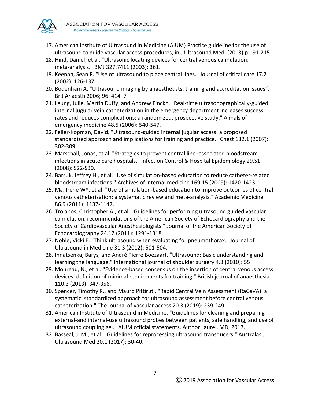

- 17. American Institute of Ultrasound in Medicine (AIUM) Practice guideline for the use of ultrasound to guide vascular access procedures, in J Ultrasound Med. (2013) p.191-215.
- 18. Hind, Daniel, et al. "Ultrasonic locating devices for central venous cannulation: meta-analysis." BMJ 327.7411 (2003): 361.
- 19. Keenan, Sean P. "Use of ultrasound to place central lines." Journal of critical care 17.2 (2002): 126-137.
- 20. Bodenham A. "Ultrasound imaging by anaesthetists: training and accreditation issues". Br J Anaesth 2006; 96: 414–7
- 21. Leung, Julie, Martin Duffy, and Andrew Finckh. "Real-time ultrasonographically-guided internal jugular vein catheterization in the emergency department increases success rates and reduces complications: a randomized, prospective study." Annals of emergency medicine 48.5 (2006): 540-547.
- 22. Feller-Kopman, David. "Ultrasound-guided internal jugular access: a proposed standardized approach and implications for training and practice." Chest 132.1 (2007): 302-309.
- 23. Marschall, Jonas, et al. "Strategies to prevent central line–associated bloodstream infections in acute care hospitals." Infection Control & Hospital Epidemiology 29.S1 (2008): S22-S30.
- 24. Barsuk, Jeffrey H., et al. "Use of simulation-based education to reduce catheter-related bloodstream infections." Archives of internal medicine 169.15 (2009): 1420-1423.
- 25. Ma, Irene WY, et al. "Use of simulation-based education to improve outcomes of central venous catheterization: a systematic review and meta-analysis." Academic Medicine 86.9 (2011): 1137-1147.
- 26. Troianos, Christopher A., et al. "Guidelines for performing ultrasound guided vascular cannulation: recommendations of the American Society of Echocardiography and the Society of Cardiovascular Anesthesiologists." Journal of the American Society of Echocardiography 24.12 (2011): 1291-1318.
- 27. Noble, Vicki E. "Think ultrasound when evaluating for pneumothorax." Journal of Ultrasound in Medicine 31.3 (2012): 501-504.
- 28. Ihnatsenka, Barys, and André Pierre Boezaart. "Ultrasound: Basic understanding and learning the language." International journal of shoulder surgery 4.3 (2010): 55
- 29. Moureau, N., et al. "Evidence-based consensus on the insertion of central venous access devices: definition of minimal requirements for training." British journal of anaesthesia 110.3 (2013): 347-356.
- 30. Spencer, Timothy R., and Mauro Pittiruti. "Rapid Central Vein Assessment (RaCeVA): a systematic, standardized approach for ultrasound assessment before central venous catheterization." The journal of vascular access 20.3 (2019): 239-249.
- 31. American Institute of Ultrasound in Medicine. "Guidelines for cleaning and preparing external-and internal-use ultrasound probes between patients, safe handling, and use of ultrasound coupling gel." AIUM official statements. Author Laurel, MD, 2017.
- 32. Basseal, J. M., et al. "Guidelines for reprocessing ultrasound transducers." Australas J Ultrasound Med 20.1 (2017): 30-40.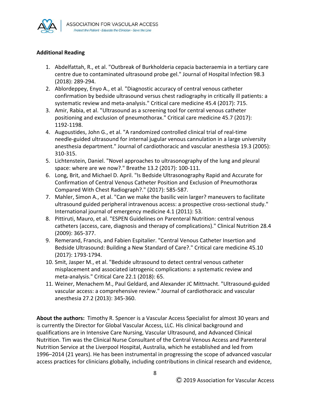

## **Additional Reading**

- 1. Abdelfattah, R., et al. "Outbreak of Burkholderia cepacia bacteraemia in a tertiary care centre due to contaminated ultrasound probe gel." Journal of Hospital Infection 98.3 (2018): 289-294.
- 2. Ablordeppey, Enyo A., et al. "Diagnostic accuracy of central venous catheter confirmation by bedside ultrasound versus chest radiography in critically ill patients: a systematic review and meta-analysis." Critical care medicine 45.4 (2017): 715.
- 3. Amir, Rabia, et al. "Ultrasound as a screening tool for central venous catheter positioning and exclusion of pneumothorax." Critical care medicine 45.7 (2017): 1192-1198.
- 4. Augoustides, John G., et al. "A randomized controlled clinical trial of real-time needle-guided ultrasound for internal jugular venous cannulation in a large university anesthesia department." Journal of cardiothoracic and vascular anesthesia 19.3 (2005): 310-315.
- 5. Lichtenstein, Daniel. "Novel approaches to ultrasonography of the lung and pleural space: where are we now?." Breathe 13.2 (2017): 100-111.
- 6. Long, Brit, and Michael D. April. "Is Bedside Ultrasonography Rapid and Accurate for Confirmation of Central Venous Catheter Position and Exclusion of Pneumothorax Compared With Chest Radiograph?." (2017): 585-587.
- 7. Mahler, Simon A., et al. "Can we make the basilic vein larger? maneuvers to facilitate ultrasound guided peripheral intravenous access: a prospective cross-sectional study." International journal of emergency medicine 4.1 (2011): 53.
- 8. Pittiruti, Mauro, et al. "ESPEN Guidelines on Parenteral Nutrition: central venous catheters (access, care, diagnosis and therapy of complications)." Clinical Nutrition 28.4 (2009): 365-377.
- 9. Remerand, Francis, and Fabien Espitalier. "Central Venous Catheter Insertion and Bedside Ultrasound: Building a New Standard of Care?." Critical care medicine 45.10 (2017): 1793-1794.
- 10. Smit, Jasper M., et al. "Bedside ultrasound to detect central venous catheter misplacement and associated iatrogenic complications: a systematic review and meta-analysis." Critical Care 22.1 (2018): 65.
- 11. Weiner, Menachem M., Paul Geldard, and Alexander JC Mittnacht. "Ultrasound-guided vascular access: a comprehensive review." Journal of cardiothoracic and vascular anesthesia 27.2 (2013): 345-360.

**About the authors:** Timothy R. Spencer is a Vascular Access Specialist for almost 30 years and is currently the Director for Global Vascular Access, LLC. His clinical background and qualifications are in Intensive Care Nursing, Vascular Ultrasound, and Advanced Clinical Nutrition. Tim was the Clinical Nurse Consultant of the Central Venous Access and Parenteral Nutrition Service at the Liverpool Hospital, Australia, which he established and led from 1996–2014 (21 years). He has been instrumental in progressing the scope of advanced vascular access practices for clinicians globally, including contributions in clinical research and evidence,